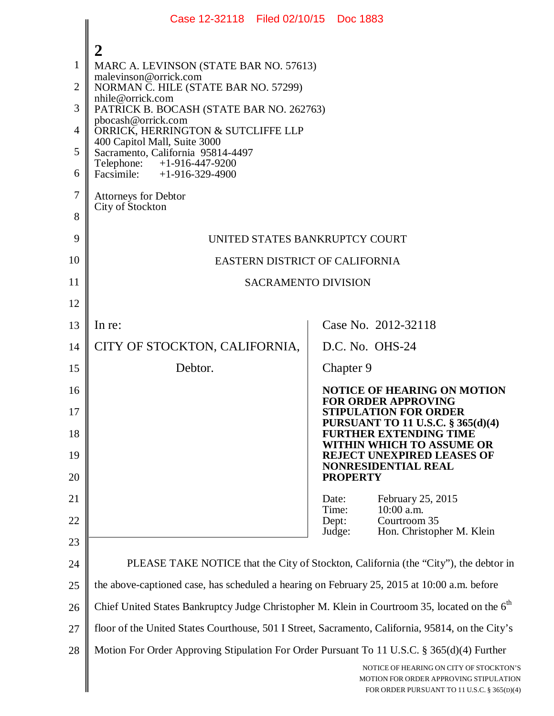|                | Case 12-32118 Filed 02/10/15 Doc 1883                                                                     |                                                                                                                                  |  |
|----------------|-----------------------------------------------------------------------------------------------------------|----------------------------------------------------------------------------------------------------------------------------------|--|
|                | 2                                                                                                         |                                                                                                                                  |  |
| $\mathbf{1}$   | MARC A. LEVINSON (STATE BAR NO. 57613)                                                                    |                                                                                                                                  |  |
| $\overline{2}$ | malevinson@orrick.com<br>NORMAN C. HILE (STATE BAR NO. 57299)                                             |                                                                                                                                  |  |
| 3              | nhile@orrick.com<br>PATRICK B. BOCASH (STATE BAR NO. 262763)                                              |                                                                                                                                  |  |
| 4              | pbocash@orrick.com<br>ORRICK, HERRINGTON & SUTCLIFFE LLP                                                  |                                                                                                                                  |  |
| 5              | 400 Capitol Mall, Suite 3000<br>Sacramento, California 95814-4497                                         |                                                                                                                                  |  |
| 6              | +1-916-447-9200<br>Telephone:<br>Facsimile: $+1-916-329-4900$                                             |                                                                                                                                  |  |
| $\tau$         | <b>Attorneys for Debtor</b><br>City of Stockton                                                           |                                                                                                                                  |  |
| 8              |                                                                                                           |                                                                                                                                  |  |
| 9              | UNITED STATES BANKRUPTCY COURT                                                                            |                                                                                                                                  |  |
| 10             | EASTERN DISTRICT OF CALIFORNIA                                                                            |                                                                                                                                  |  |
| 11             | <b>SACRAMENTO DIVISION</b>                                                                                |                                                                                                                                  |  |
| 12             |                                                                                                           |                                                                                                                                  |  |
| 13             | In re:                                                                                                    | Case No. 2012-32118                                                                                                              |  |
| 14             | CITY OF STOCKTON, CALIFORNIA,                                                                             | D.C. No. OHS-24                                                                                                                  |  |
| 15             | Debtor.                                                                                                   | Chapter 9                                                                                                                        |  |
| 16             |                                                                                                           | <b>NOTICE OF HEARING ON MOTION</b><br><b>FOR ORDER APPROVING</b>                                                                 |  |
| 17             |                                                                                                           | <b>STIPULATION FOR ORDER</b><br><b>PURSUANT TO 11 U.S.C. § 365(d)(4)</b>                                                         |  |
| 18             |                                                                                                           | <b>FURTHER EXTENDING TIME</b><br>WITHIN WHICH TO ASSUME OR                                                                       |  |
| 19             |                                                                                                           | <b>REJECT UNEXPIRED LEASES OF</b><br><b>NONRESIDENTIAL REAL</b>                                                                  |  |
| 20<br>21       |                                                                                                           | <b>PROPERTY</b><br>Date:                                                                                                         |  |
| 22             |                                                                                                           | February 25, 2015<br>Time:<br>10:00 a.m.<br>Courtroom 35<br>Dept:                                                                |  |
| 23             |                                                                                                           | Hon. Christopher M. Klein<br>Judge:                                                                                              |  |
| 24             | PLEASE TAKE NOTICE that the City of Stockton, California (the "City"), the debtor in                      |                                                                                                                                  |  |
| 25             | the above-captioned case, has scheduled a hearing on February 25, 2015 at 10:00 a.m. before               |                                                                                                                                  |  |
| 26             | Chief United States Bankruptcy Judge Christopher M. Klein in Courtroom 35, located on the 6 <sup>th</sup> |                                                                                                                                  |  |
| 27             | floor of the United States Courthouse, 501 I Street, Sacramento, California, 95814, on the City's         |                                                                                                                                  |  |
| 28             | Motion For Order Approving Stipulation For Order Pursuant To 11 U.S.C. § 365(d)(4) Further                |                                                                                                                                  |  |
|                |                                                                                                           | NOTICE OF HEARING ON CITY OF STOCKTON'S<br>MOTION FOR ORDER APPROVING STIPULATION<br>FOR ORDER PURSUANT TO 11 U.S.C. § 365(D)(4) |  |